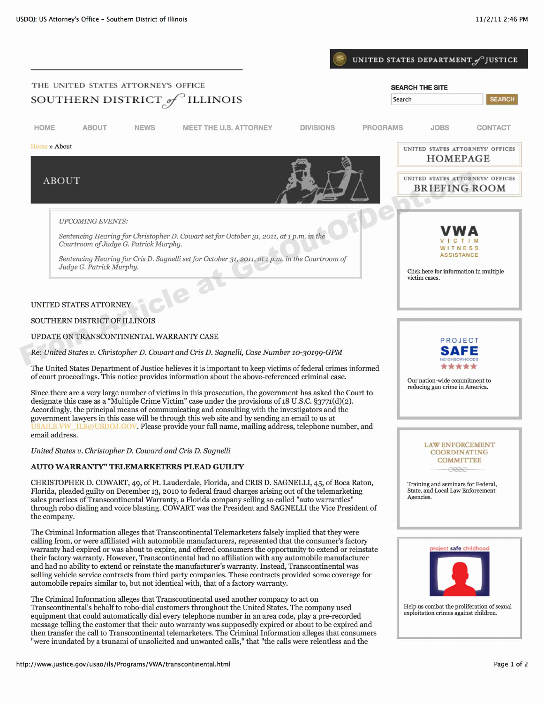